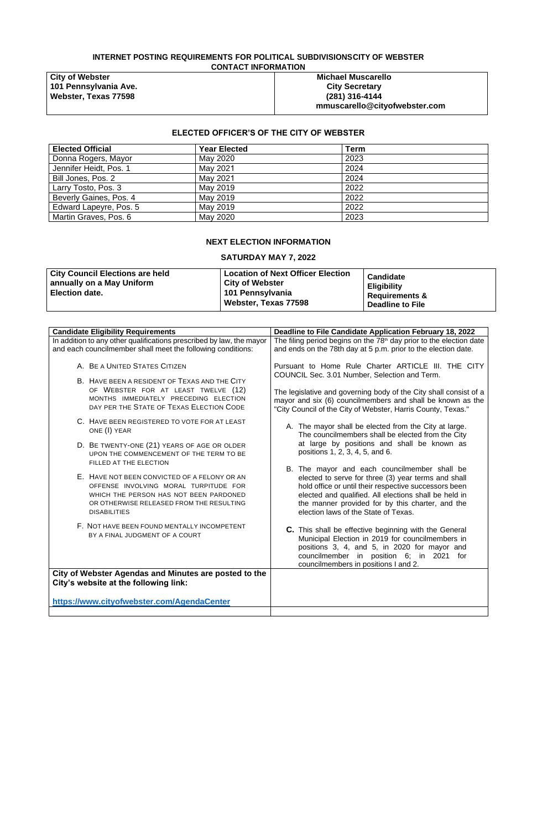# **INTERNET POSTING REQUIREMENTS FOR POLITICAL SUBDIVISIONSCITY OF WEBSTER CONTACT INFORMATION**

**City of Webster 101 Pennsylvania Ave. Webster, Texas 77598**

**Michael Muscarello City Secretary (281) 316-4144 mmuscarello@cityofwebster.com**

# **ELECTED OFFICER'S OF THE CITY OF WEBSTER**

| <b>Elected Official</b> | <b>Year Elected</b> | Term |
|-------------------------|---------------------|------|
| Donna Rogers, Mayor     | May 2020            | 2023 |
| Jennifer Heidt, Pos. 1  | May 2021            | 2024 |
| Bill Jones, Pos. 2      | May 2021            | 2024 |
| Larry Tosto, Pos. 3     | May 2019            | 2022 |
| Beverly Gaines, Pos. 4  | May 2019            | 2022 |
| Edward Lapeyre, Pos. 5  | May 2019            | 2022 |
| Martin Graves, Pos. 6   | May 2020            | 2023 |

## **NEXT ELECTION INFORMATION**

# **SATURDAY MAY 7, 2022**

| <b>City Council Elections are held</b><br>annually on a May Uniform<br><b>Election date.</b> | Location of Next Officer Election<br><b>City of Webster</b><br><sup>∣</sup> 101 Pennsylvania<br>Webster, Texas 77598 | <b>Candidate</b><br><b>Eligibility</b><br><b>Requirements &amp;</b><br><b>Deadline to File</b> |
|----------------------------------------------------------------------------------------------|----------------------------------------------------------------------------------------------------------------------|------------------------------------------------------------------------------------------------|
|----------------------------------------------------------------------------------------------|----------------------------------------------------------------------------------------------------------------------|------------------------------------------------------------------------------------------------|

| In addition to any other qualifications prescribed by law, the mayor<br>The filing period begins on the 78 <sup>th</sup> day prior to the election date<br>and ends on the 78th day at 5 p.m. prior to the election date.<br>Pursuant to Home Rule Charter ARTICLE III. THE CITY<br>COUNCIL Sec. 3.01 Number, Selection and Term.                                                                                                                                                                                                                                                                                                                                                                                                                                                                                           |
|-----------------------------------------------------------------------------------------------------------------------------------------------------------------------------------------------------------------------------------------------------------------------------------------------------------------------------------------------------------------------------------------------------------------------------------------------------------------------------------------------------------------------------------------------------------------------------------------------------------------------------------------------------------------------------------------------------------------------------------------------------------------------------------------------------------------------------|
|                                                                                                                                                                                                                                                                                                                                                                                                                                                                                                                                                                                                                                                                                                                                                                                                                             |
|                                                                                                                                                                                                                                                                                                                                                                                                                                                                                                                                                                                                                                                                                                                                                                                                                             |
| The legislative and governing body of the City shall consist of a<br>mayor and six (6) councilmembers and shall be known as the<br>"City Council of the City of Webster, Harris County, Texas."                                                                                                                                                                                                                                                                                                                                                                                                                                                                                                                                                                                                                             |
| A. The mayor shall be elected from the City at large.<br>The councilmembers shall be elected from the City<br>at large by positions and shall be known as<br>positions 1, 2, 3, 4, 5, and 6.<br>B. The mayor and each councilmember shall be<br>elected to serve for three (3) year terms and shall<br>hold office or until their respective successors been<br>elected and qualified. All elections shall be held in<br>the manner provided for by this charter, and the<br>election laws of the State of Texas.<br>C. This shall be effective beginning with the General<br>Municipal Election in 2019 for councilmembers in<br>positions 3, 4, and 5, in 2020 for mayor and<br>councilmember in position 6; in 2021 for<br>councilmembers in positions I and 2.<br>City of Webster Agendas and Minutes are posted to the |
|                                                                                                                                                                                                                                                                                                                                                                                                                                                                                                                                                                                                                                                                                                                                                                                                                             |
|                                                                                                                                                                                                                                                                                                                                                                                                                                                                                                                                                                                                                                                                                                                                                                                                                             |
|                                                                                                                                                                                                                                                                                                                                                                                                                                                                                                                                                                                                                                                                                                                                                                                                                             |
|                                                                                                                                                                                                                                                                                                                                                                                                                                                                                                                                                                                                                                                                                                                                                                                                                             |